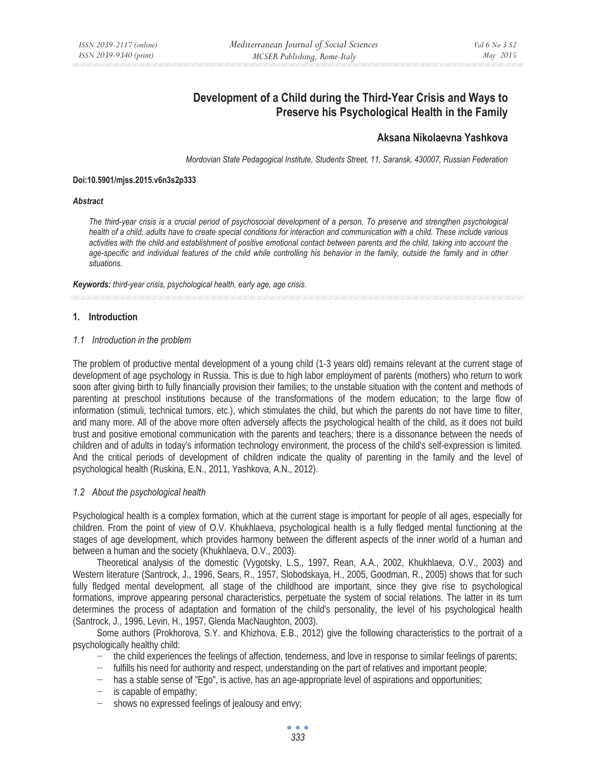# **Development of a Child during the Third-Year Crisis and Ways to Preserve his Psychological Health in the Family**

# **Aksana Nikolaevna Yashkova**

*Mordovian State Pedagogical Institute, Students Street, 11, Saransk, 430007, Russian Federation* 

#### **Doi:10.5901/mjss.2015.v6n3s2p333**

#### *Abstract*

*The third-year crisis is a crucial period of psychosocial development of a person. To preserve and strengthen psychological health of a child, adults have to create special conditions for interaction and communication with a child. These include various*  activities with the child and establishment of positive emotional contact between parents and the child, taking into account the *age-specific and individual features of the child while controlling his behavior in the family, outside the family and in other situations.* 

*Keywords: third-year crisis, psychological health, early age, age crisis.*

## **1. Introduction**

## *1.1 Introduction in the problem*

The problem of productive mental development of a young child (1-3 years old) remains relevant at the current stage of development of age psychology in Russia. This is due to high labor employment of parents (mothers) who return to work soon after giving birth to fully financially provision their families; to the unstable situation with the content and methods of parenting at preschool institutions because of the transformations of the modern education; to the large flow of information (stimuli, technical tumors, etc.), which stimulates the child, but which the parents do not have time to filter, and many more. All of the above more often adversely affects the psychological health of the child, as it does not build trust and positive emotional communication with the parents and teachers; there is a dissonance between the needs of children and of adults in today's information technology environment, the process of the child's self-expression is limited. And the critical periods of development of children indicate the quality of parenting in the family and the level of psychological health (Ruskina, E.N., 2011, Yashkova, A.N., 2012).

# *1.2 About the psychological health*

Psychological health is a complex formation, which at the current stage is important for people of all ages, especially for children. From the point of view of O.V. Khukhlaeva, psychological health is a fully fledged mental functioning at the stages of age development, which provides harmony between the different aspects of the inner world of a human and between a human and the society (Khukhlaeva, O.V., 2003).

Theoretical analysis of the domestic (Vygotsky, L.S., 1997, Rean, A.A., 2002, Khukhlaeva, O.V., 2003) and Western literature (Santrock, J., 1996, Sears, R., 1957, Slobodskaya, H., 2005, Goodman, R., 2005) shows that for such fully fledged mental development, all stage of the childhood are important, since they give rise to psychological formations, improve appearing personal characteristics, perpetuate the system of social relations. The latter in its turn determines the process of adaptation and formation of the child's personality, the level of his psychological health (Santrock, J., 1996, Levin, H., 1957, Glenda MacNaughton, 2003).

Some authors (Prokhorova, S.Y. and Khizhova, E.B., 2012) give the following characteristics to the portrait of a psychologically healthy child:

- $-$  the child experiences the feelings of affection, tenderness, and love in response to similar feelings of parents;
- í fulfills his need for authority and respect, understanding on the part of relatives and important people;
- has a stable sense of "Ego", is active, has an age-appropriate level of aspirations and opportunities;
- $-$  is capable of empathy;
- $\sim$  shows no expressed feelings of jealousy and envy;

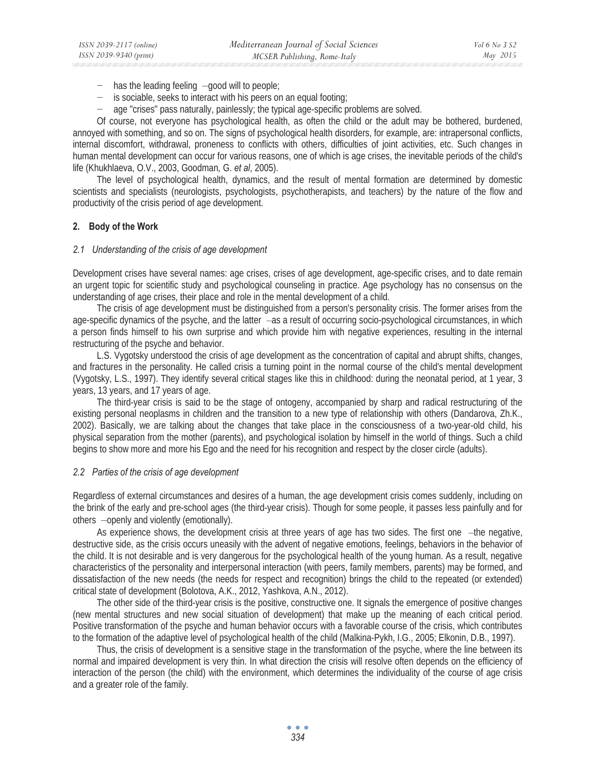- $-$  has the leading feeling  $-$ good will to people;
- $\overline{\phantom{a}}$  is sociable, seeks to interact with his peers on an equal footing;
- $\alpha$  age "crises" pass naturally, painlessly; the typical age-specific problems are solved.

Of course, not everyone has psychological health, as often the child or the adult may be bothered, burdened, annoyed with something, and so on. The signs of psychological health disorders, for example, are: intrapersonal conflicts, internal discomfort, withdrawal, proneness to conflicts with others, difficulties of joint activities, etc. Such changes in human mental development can occur for various reasons, one of which is age crises, the inevitable periods of the child's life (Khukhlaeva, O.V., 2003, Goodman*,* G. *et al*, 2005).

The level of psychological health, dynamics, and the result of mental formation are determined by domestic scientists and specialists (neurologists, psychologists, psychotherapists, and teachers) by the nature of the flow and productivity of the crisis period of age development.

#### **2. Body of the Work**

#### *2.1 Understanding of the crisis of age development*

Development crises have several names: age crises, crises of age development, age-specific crises, and to date remain an urgent topic for scientific study and psychological counseling in practice. Age psychology has no consensus on the understanding of age crises, their place and role in the mental development of a child.

The crisis of age development must be distinguished from a person's personality crisis. The former arises from the age-specific dynamics of the psyche, and the latter –as a result of occurring socio-psychological circumstances, in which a person finds himself to his own surprise and which provide him with negative experiences, resulting in the internal restructuring of the psyche and behavior.

L.S. Vygotsky understood the crisis of age development as the concentration of capital and abrupt shifts, changes, and fractures in the personality. He called crisis a turning point in the normal course of the child's mental development (Vygotsky, L.S., 1997). They identify several critical stages like this in childhood: during the neonatal period, at 1 year, 3 years, 13 years, and 17 years of age.

The third-year crisis is said to be the stage of ontogeny, accompanied by sharp and radical restructuring of the existing personal neoplasms in children and the transition to a new type of relationship with others (Dandarova, Zh.K., 2002). Basically, we are talking about the changes that take place in the consciousness of a two-year-old child, his physical separation from the mother (parents), and psychological isolation by himself in the world of things. Such a child begins to show more and more his Ego and the need for his recognition and respect by the closer circle (adults).

#### *2.2 Parties of the crisis of age development*

Regardless of external circumstances and desires of a human, the age development crisis comes suddenly, including on the brink of the early and pre-school ages (the third-year crisis). Though for some people, it passes less painfully and for others –openly and violently (emotionally).

As experience shows, the development crisis at three years of age has two sides. The first one –the negative, destructive side, as the crisis occurs uneasily with the advent of negative emotions, feelings, behaviors in the behavior of the child. It is not desirable and is very dangerous for the psychological health of the young human. As a result, negative characteristics of the personality and interpersonal interaction (with peers, family members, parents) may be formed, and dissatisfaction of the new needs (the needs for respect and recognition) brings the child to the repeated (or extended) critical state of development (Bolotova, A.K., 2012, Yashkova, A.N., 2012).

The other side of the third-year crisis is the positive, constructive one. It signals the emergence of positive changes (new mental structures and new social situation of development) that make up the meaning of each critical period. Positive transformation of the psyche and human behavior occurs with a favorable course of the crisis, which contributes to the formation of the adaptive level of psychological health of the child (Malkina-Pykh, I.G., 2005; Elkonin, D.B., 1997).

Thus, the crisis of development is a sensitive stage in the transformation of the psyche, where the line between its normal and impaired development is very thin. In what direction the crisis will resolve often depends on the efficiency of interaction of the person (the child) with the environment, which determines the individuality of the course of age crisis and a greater role of the family.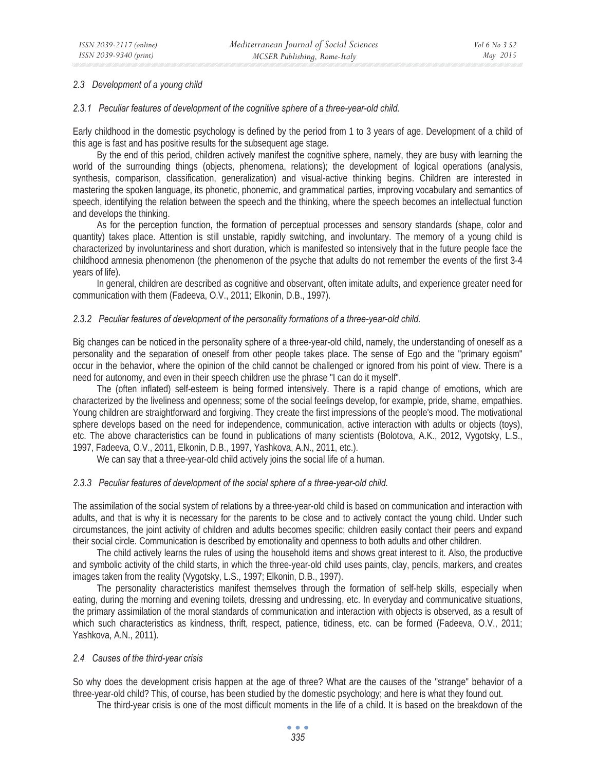## *2.3 Development of a young child*

### *2.3.1 Peculiar features of development of the cognitive sphere of a three-year-old child.*

Early childhood in the domestic psychology is defined by the period from 1 to 3 years of age. Development of a child of this age is fast and has positive results for the subsequent age stage.

By the end of this period, children actively manifest the cognitive sphere, namely, they are busy with learning the world of the surrounding things (objects, phenomena, relations); the development of logical operations (analysis, synthesis, comparison, classification, generalization) and visual-active thinking begins. Children are interested in mastering the spoken language, its phonetic, phonemic, and grammatical parties, improving vocabulary and semantics of speech, identifying the relation between the speech and the thinking, where the speech becomes an intellectual function and develops the thinking.

As for the perception function, the formation of perceptual processes and sensory standards (shape, color and quantity) takes place. Attention is still unstable, rapidly switching, and involuntary. The memory of a young child is characterized by involuntariness and short duration, which is manifested so intensively that in the future people face the childhood amnesia phenomenon (the phenomenon of the psyche that adults do not remember the events of the first 3-4 years of life).

In general, children are described as cognitive and observant, often imitate adults, and experience greater need for communication with them (Fadeeva, O.V., 2011; Elkonin, D.B., 1997).

## *2.3.2 Peculiar features of development of the personality formations of a three-year-old child.*

Big changes can be noticed in the personality sphere of a three-year-old child, namely, the understanding of oneself as a personality and the separation of oneself from other people takes place. The sense of Ego and the "primary egoism" occur in the behavior, where the opinion of the child cannot be challenged or ignored from his point of view. There is a need for autonomy, and even in their speech children use the phrase "I can do it myself".

The (often inflated) self-esteem is being formed intensively. There is a rapid change of emotions, which are characterized by the liveliness and openness; some of the social feelings develop, for example, pride, shame, empathies. Young children are straightforward and forgiving. They create the first impressions of the people's mood. The motivational sphere develops based on the need for independence, communication, active interaction with adults or objects (toys), etc. The above characteristics can be found in publications of many scientists (Bolotova, A.K., 2012, Vygotsky, L.S., 1997, Fadeeva, O.V., 2011, Elkonin, D.B., 1997, Yashkova, A.N., 2011, etc.).

We can say that a three-year-old child actively joins the social life of a human.

#### *2.3.3 Peculiar features of development of the social sphere of a three-year-old child.*

The assimilation of the social system of relations by a three-year-old child is based on communication and interaction with adults, and that is why it is necessary for the parents to be close and to actively contact the young child. Under such circumstances, the joint activity of children and adults becomes specific; children easily contact their peers and expand their social circle. Communication is described by emotionality and openness to both adults and other children.

The child actively learns the rules of using the household items and shows great interest to it. Also, the productive and symbolic activity of the child starts, in which the three-year-old child uses paints, clay, pencils, markers, and creates images taken from the reality (Vygotsky, L.S., 1997; Elkonin, D.B., 1997).

The personality characteristics manifest themselves through the formation of self-help skills, especially when eating, during the morning and evening toilets, dressing and undressing, etc. In everyday and communicative situations, the primary assimilation of the moral standards of communication and interaction with objects is observed, as a result of which such characteristics as kindness, thrift, respect, patience, tidiness, etc. can be formed (Fadeeva, O.V., 2011; Yashkova, A.N., 2011).

### *2.4 Causes of the third-year crisis*

So why does the development crisis happen at the age of three? What are the causes of the "strange" behavior of a three-year-old child? This, of course, has been studied by the domestic psychology; and here is what they found out.

The third-year crisis is one of the most difficult moments in the life of a child. It is based on the breakdown of the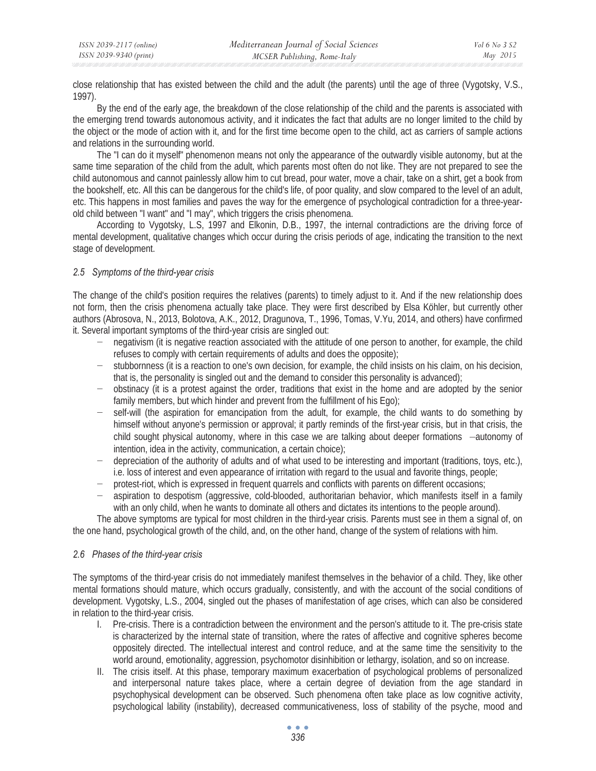close relationship that has existed between the child and the adult (the parents) until the age of three (Vygotsky, V.S., 1997).

By the end of the early age, the breakdown of the close relationship of the child and the parents is associated with the emerging trend towards autonomous activity, and it indicates the fact that adults are no longer limited to the child by the object or the mode of action with it, and for the first time become open to the child, act as carriers of sample actions and relations in the surrounding world.

The "I can do it myself" phenomenon means not only the appearance of the outwardly visible autonomy, but at the same time separation of the child from the adult, which parents most often do not like. They are not prepared to see the child autonomous and cannot painlessly allow him to cut bread, pour water, move a chair, take on a shirt, get a book from the bookshelf, etc. All this can be dangerous for the child's life, of poor quality, and slow compared to the level of an adult, etc. This happens in most families and paves the way for the emergence of psychological contradiction for a three-yearold child between "I want" and "I may", which triggers the crisis phenomena.

According to Vygotsky, L.S, 1997 and Elkonin, D.B., 1997, the internal contradictions are the driving force of mental development, qualitative changes which occur during the crisis periods of age, indicating the transition to the next stage of development.

# *2.5 Symptoms of the third-year crisis*

The change of the child's position requires the relatives (parents) to timely adjust to it. And if the new relationship does not form, then the crisis phenomena actually take place. They were first described by Elsa Köhler, but currently other authors (Abrosova, N., 2013, Bolotova, A.K., 2012, Dragunova, T., 1996, Tomas, V.Yu, 2014, and others) have confirmed it. Several important symptoms of the third-year crisis are singled out:

- negativism (it is negative reaction associated with the attitude of one person to another, for example, the child refuses to comply with certain requirements of adults and does the opposite);
- $-$  stubbornness (it is a reaction to one's own decision, for example, the child insists on his claim, on his decision, that is, the personality is singled out and the demand to consider this personality is advanced);
- í obstinacy (it is a protest against the order, traditions that exist in the home and are adopted by the senior family members, but which hinder and prevent from the fulfillment of his Ego);
- self-will (the aspiration for emancipation from the adult, for example, the child wants to do something by himself without anyone's permission or approval; it partly reminds of the first-year crisis, but in that crisis, the child sought physical autonomy, where in this case we are talking about deeper formations –autonomy of intention, idea in the activity, communication, a certain choice);
- depreciation of the authority of adults and of what used to be interesting and important (traditions, toys, etc.), i.e. loss of interest and even appearance of irritation with regard to the usual and favorite things, people;
- $-$  protest-riot, which is expressed in frequent quarrels and conflicts with parents on different occasions;
- $-$  aspiration to despotism (aggressive, cold-blooded, authoritarian behavior, which manifests itself in a family with an only child, when he wants to dominate all others and dictates its intentions to the people around).

The above symptoms are typical for most children in the third-year crisis. Parents must see in them a signal of, on the one hand, psychological growth of the child, and, on the other hand, change of the system of relations with him.

# *2.6 Phases of the third-year crisis*

The symptoms of the third-year crisis do not immediately manifest themselves in the behavior of a child. They, like other mental formations should mature, which occurs gradually, consistently, and with the account of the social conditions of development. Vygotsky, L.S., 2004, singled out the phases of manifestation of age crises, which can also be considered in relation to the third-year crisis.

- I. Pre-crisis. There is a contradiction between the environment and the person's attitude to it. The pre-crisis state is characterized by the internal state of transition, where the rates of affective and cognitive spheres become oppositely directed. The intellectual interest and control reduce, and at the same time the sensitivity to the world around, emotionality, aggression, psychomotor disinhibition or lethargy, isolation, and so on increase.
- II. The crisis itself. At this phase, temporary maximum exacerbation of psychological problems of personalized and interpersonal nature takes place, where a certain degree of deviation from the age standard in psychophysical development can be observed. Such phenomena often take place as low cognitive activity, psychological lability (instability), decreased communicativeness, loss of stability of the psyche, mood and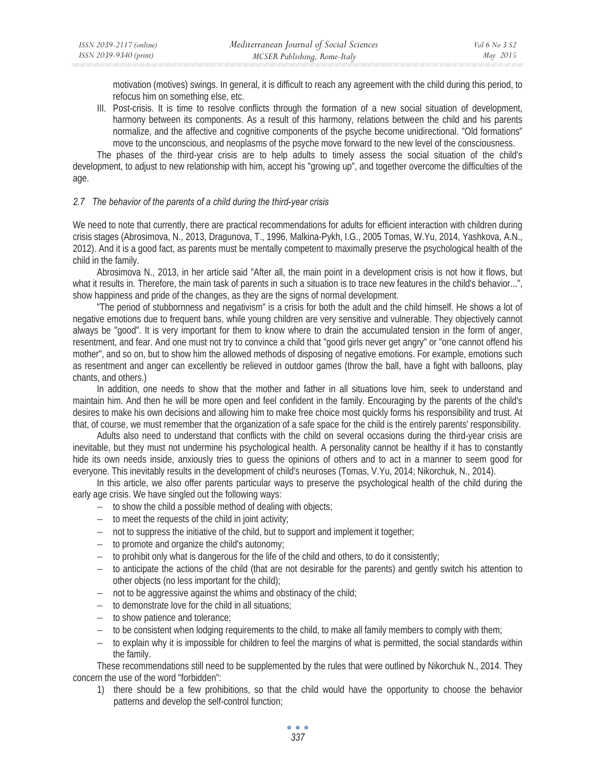motivation (motives) swings. In general, it is difficult to reach any agreement with the child during this period, to refocus him on something else, etc.

III. Post-crisis. It is time to resolve conflicts through the formation of a new social situation of development, harmony between its components. As a result of this harmony, relations between the child and his parents normalize, and the affective and cognitive components of the psyche become unidirectional. "Old formations" move to the unconscious, and neoplasms of the psyche move forward to the new level of the consciousness.

The phases of the third-year crisis are to help adults to timely assess the social situation of the child's development, to adjust to new relationship with him, accept his "growing up", and together overcome the difficulties of the age.

# *2.7 The behavior of the parents of a child during the third-year crisis*

We need to note that currently, there are practical recommendations for adults for efficient interaction with children during crisis stages (Abrosimova, N., 2013, Dragunova, T., 1996, Malkina-Pykh, I.G., 2005 Tomas, W.Yu, 2014, Yashkova, A.N., 2012). And it is a good fact, as parents must be mentally competent to maximally preserve the psychological health of the child in the family.

Abrosimova N., 2013, in her article said "After all, the main point in a development crisis is not how it flows, but what it results in. Therefore, the main task of parents in such a situation is to trace new features in the child's behavior...", show happiness and pride of the changes, as they are the signs of normal development.

"The period of stubbornness and negativism" is a crisis for both the adult and the child himself. He shows a lot of negative emotions due to frequent bans, while young children are very sensitive and vulnerable. They objectively cannot always be "good". It is very important for them to know where to drain the accumulated tension in the form of anger, resentment, and fear. And one must not try to convince a child that "good girls never get angry" or "one cannot offend his mother", and so on, but to show him the allowed methods of disposing of negative emotions. For example, emotions such as resentment and anger can excellently be relieved in outdoor games (throw the ball, have a fight with balloons, play chants, and others.)

In addition, one needs to show that the mother and father in all situations love him, seek to understand and maintain him. And then he will be more open and feel confident in the family. Encouraging by the parents of the child's desires to make his own decisions and allowing him to make free choice most quickly forms his responsibility and trust. At that, of course, we must remember that the organization of a safe space for the child is the entirely parents' responsibility.

Adults also need to understand that conflicts with the child on several occasions during the third-year crisis are inevitable, but they must not undermine his psychological health. A personality cannot be healthy if it has to constantly hide its own needs inside, anxiously tries to guess the opinions of others and to act in a manner to seem good for everyone. This inevitably results in the development of child's neuroses (Tomas, V.Yu, 2014; Nikorchuk, N., 2014).

In this article, we also offer parents particular ways to preserve the psychological health of the child during the early age crisis. We have singled out the following ways:

- − to show the child a possible method of dealing with objects;
- − to meet the requests of the child in joint activity;
- − not to suppress the initiative of the child, but to support and implement it together;
- − to promote and organize the child's autonomy;
- − to prohibit only what is dangerous for the life of the child and others, to do it consistently;
- − to anticipate the actions of the child (that are not desirable for the parents) and gently switch his attention to other objects (no less important for the child);
- − not to be aggressive against the whims and obstinacy of the child;
- − to demonstrate love for the child in all situations;
- − to show patience and tolerance;
- − to be consistent when lodging requirements to the child, to make all family members to comply with them;
- − to explain why it is impossible for children to feel the margins of what is permitted, the social standards within the family.

These recommendations still need to be supplemented by the rules that were outlined by Nikorchuk N., 2014. They concern the use of the word "forbidden":

1) there should be a few prohibitions, so that the child would have the opportunity to choose the behavior patterns and develop the self-control function;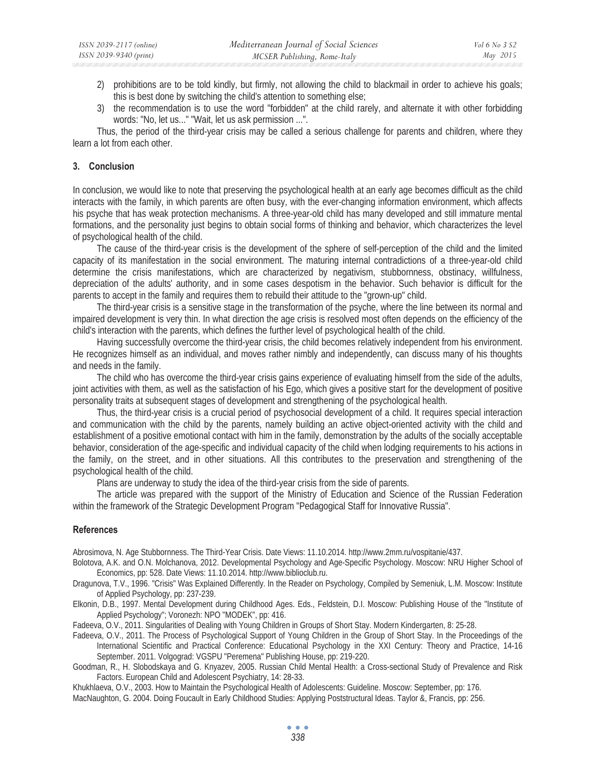- 2) prohibitions are to be told kindly, but firmly, not allowing the child to blackmail in order to achieve his goals; this is best done by switching the child's attention to something else;
- 3) the recommendation is to use the word "forbidden" at the child rarely, and alternate it with other forbidding words: "No, let us..." "Wait, let us ask permission ...".

Thus, the period of the third-year crisis may be called a serious challenge for parents and children, where they learn a lot from each other.

## **3. Conclusion**

In conclusion, we would like to note that preserving the psychological health at an early age becomes difficult as the child interacts with the family, in which parents are often busy, with the ever-changing information environment, which affects his psyche that has weak protection mechanisms. A three-year-old child has many developed and still immature mental formations, and the personality just begins to obtain social forms of thinking and behavior, which characterizes the level of psychological health of the child.

The cause of the third-year crisis is the development of the sphere of self-perception of the child and the limited capacity of its manifestation in the social environment. The maturing internal contradictions of a three-year-old child determine the crisis manifestations, which are characterized by negativism, stubbornness, obstinacy, willfulness, depreciation of the adults' authority, and in some cases despotism in the behavior. Such behavior is difficult for the parents to accept in the family and requires them to rebuild their attitude to the "grown-up" child.

The third-year crisis is a sensitive stage in the transformation of the psyche, where the line between its normal and impaired development is very thin. In what direction the age crisis is resolved most often depends on the efficiency of the child's interaction with the parents, which defines the further level of psychological health of the child.

Having successfully overcome the third-year crisis, the child becomes relatively independent from his environment. He recognizes himself as an individual, and moves rather nimbly and independently, can discuss many of his thoughts and needs in the family.

The child who has overcome the third-year crisis gains experience of evaluating himself from the side of the adults, joint activities with them, as well as the satisfaction of his Ego, which gives a positive start for the development of positive personality traits at subsequent stages of development and strengthening of the psychological health.

Thus, the third-year crisis is a crucial period of psychosocial development of a child. It requires special interaction and communication with the child by the parents, namely building an active object-oriented activity with the child and establishment of a positive emotional contact with him in the family, demonstration by the adults of the socially acceptable behavior, consideration of the age-specific and individual capacity of the child when lodging requirements to his actions in the family, on the street, and in other situations. All this contributes to the preservation and strengthening of the psychological health of the child.

Plans are underway to study the idea of the third-year crisis from the side of parents.

The article was prepared with the support of the Ministry of Education and Science of the Russian Federation within the framework of the Strategic Development Program "Pedagogical Staff for Innovative Russia".

#### **References**

Abrosimova, N. Age Stubbornness. The Third-Year Crisis. Date Views: 11.10.2014. http://www.2mm.ru/vospitanie/437.

- Bolotova, A.K. and O.N. Molchanova, 2012. Developmental Psychology and Age-Specific Psychology. Moscow: NRU Higher School of Economics, pp: 528. Date Views: 11.10.2014. http://www.biblioclub.ru.
- Dragunova, T.V., 1996. "Crisis" Was Explained Differently. In the Reader on Psychology, Compiled by Semeniuk, L.M. Moscow: Institute of Applied Psychology, pp: 237-239.
- Elkonin, D.B., 1997. Mental Development during Childhood Ages. Eds., Feldstein, D.I. Moscow: Publishing House of the "Institute of Applied Psychology"; Voronezh: NPO "MODEK", pp: 416.

Fadeeva, O.V., 2011. Singularities of Dealing with Young Children in Groups of Short Stay. Modern Kindergarten, 8: 25-28.

- Fadeeva, O.V., 2011. The Process of Psychological Support of Young Children in the Group of Short Stay. In the Proceedings of the International Scientific and Practical Conference: Educational Psychology in the XXI Century: Theory and Practice, 14-16 September. 2011. Volgograd: VGSPU "Peremena" Publishing House, pp: 219-220.
- Goodman, R., H. Slobodskaya and G. Knyazev, 2005. Russian Child Mental Health: a Cross-sectional Study of Prevalence and Risk Factors. European Child and Adolescent Psychiatry, 14: 28-33.

Khukhlaeva, O.V., 2003. How to Maintain the Psychological Health of Adolescents: Guideline. Moscow: September, pp: 176.

MacNaughton, G. 2004. Doing Foucault in Early Childhood Studies: Applying Poststructural Ideas. Taylor &, Francis, pp: 256.